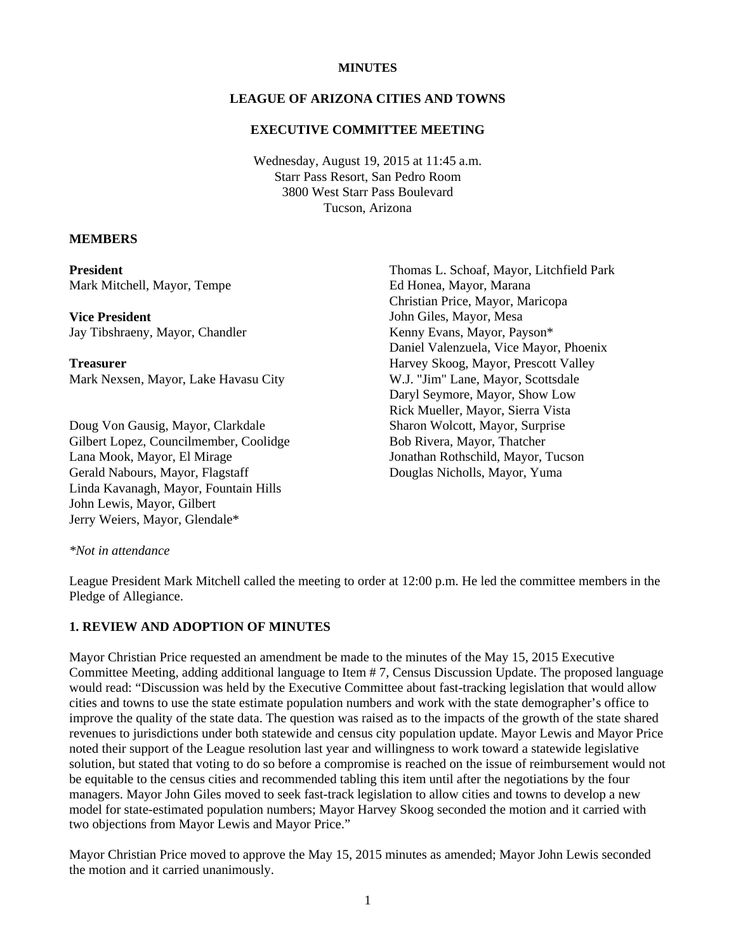#### **MINUTES**

# **LEAGUE OF ARIZONA CITIES AND TOWNS**

### **EXECUTIVE COMMITTEE MEETING**

Wednesday, August 19, 2015 at 11:45 a.m. Starr Pass Resort, San Pedro Room 3800 West Starr Pass Boulevard Tucson, Arizona

#### **MEMBERS**

**President**  Mark Mitchell, Mayor, Tempe

**Vice President**  Jay Tibshraeny, Mayor, Chandler

**Treasurer**  Mark Nexsen, Mayor, Lake Havasu City

Doug Von Gausig, Mayor, Clarkdale Gilbert Lopez, Councilmember, Coolidge Lana Mook, Mayor, El Mirage Gerald Nabours, Mayor, Flagstaff Linda Kavanagh, Mayor, Fountain Hills John Lewis, Mayor, Gilbert Jerry Weiers, Mayor, Glendale\*

Thomas L. Schoaf, Mayor, Litchfield Park Ed Honea, Mayor, Marana Christian Price, Mayor, Maricopa John Giles, Mayor, Mesa Kenny Evans, Mayor, Payson\* Daniel Valenzuela, Vice Mayor, Phoenix Harvey Skoog, Mayor, Prescott Valley W.J. "Jim" Lane, Mayor, Scottsdale Daryl Seymore, Mayor, Show Low Rick Mueller, Mayor, Sierra Vista Sharon Wolcott, Mayor, Surprise Bob Rivera, Mayor, Thatcher Jonathan Rothschild, Mayor, Tucson Douglas Nicholls, Mayor, Yuma

#### *\*Not in attendance*

League President Mark Mitchell called the meeting to order at 12:00 p.m. He led the committee members in the Pledge of Allegiance.

#### **1. REVIEW AND ADOPTION OF MINUTES**

Mayor Christian Price requested an amendment be made to the minutes of the May 15, 2015 Executive Committee Meeting, adding additional language to Item # 7, Census Discussion Update. The proposed language would read: "Discussion was held by the Executive Committee about fast-tracking legislation that would allow cities and towns to use the state estimate population numbers and work with the state demographer's office to improve the quality of the state data. The question was raised as to the impacts of the growth of the state shared revenues to jurisdictions under both statewide and census city population update. Mayor Lewis and Mayor Price noted their support of the League resolution last year and willingness to work toward a statewide legislative solution, but stated that voting to do so before a compromise is reached on the issue of reimbursement would not be equitable to the census cities and recommended tabling this item until after the negotiations by the four managers. Mayor John Giles moved to seek fast-track legislation to allow cities and towns to develop a new model for state-estimated population numbers; Mayor Harvey Skoog seconded the motion and it carried with two objections from Mayor Lewis and Mayor Price."

Mayor Christian Price moved to approve the May 15, 2015 minutes as amended; Mayor John Lewis seconded the motion and it carried unanimously.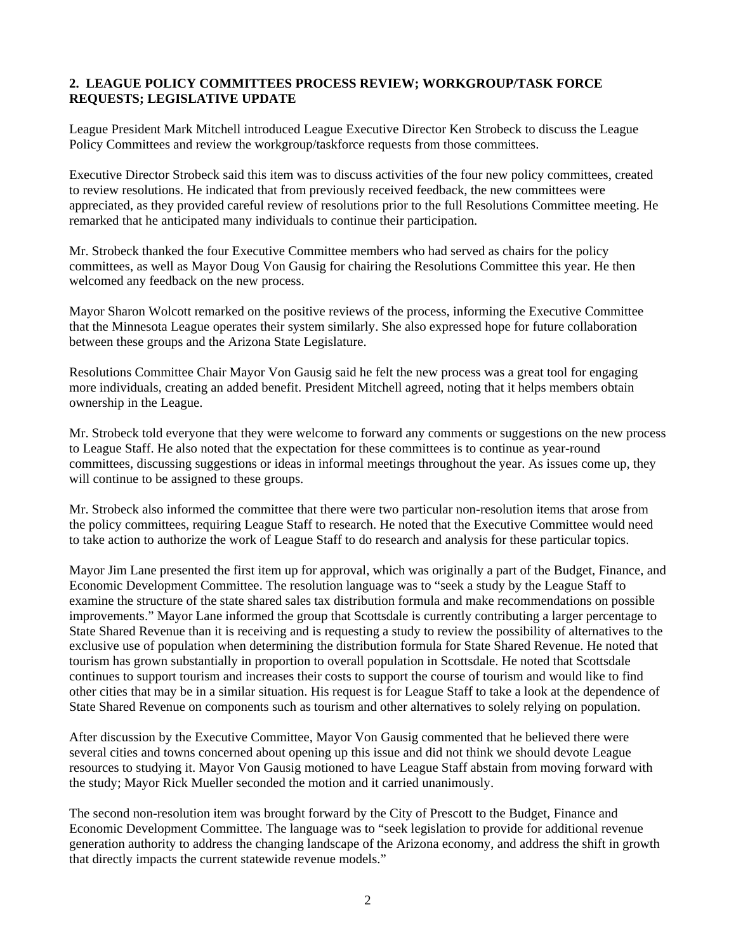### **2. LEAGUE POLICY COMMITTEES PROCESS REVIEW; WORKGROUP/TASK FORCE REQUESTS; LEGISLATIVE UPDATE**

League President Mark Mitchell introduced League Executive Director Ken Strobeck to discuss the League Policy Committees and review the workgroup/taskforce requests from those committees.

Executive Director Strobeck said this item was to discuss activities of the four new policy committees, created to review resolutions. He indicated that from previously received feedback, the new committees were appreciated, as they provided careful review of resolutions prior to the full Resolutions Committee meeting. He remarked that he anticipated many individuals to continue their participation.

Mr. Strobeck thanked the four Executive Committee members who had served as chairs for the policy committees, as well as Mayor Doug Von Gausig for chairing the Resolutions Committee this year. He then welcomed any feedback on the new process.

Mayor Sharon Wolcott remarked on the positive reviews of the process, informing the Executive Committee that the Minnesota League operates their system similarly. She also expressed hope for future collaboration between these groups and the Arizona State Legislature.

Resolutions Committee Chair Mayor Von Gausig said he felt the new process was a great tool for engaging more individuals, creating an added benefit. President Mitchell agreed, noting that it helps members obtain ownership in the League.

Mr. Strobeck told everyone that they were welcome to forward any comments or suggestions on the new process to League Staff. He also noted that the expectation for these committees is to continue as year-round committees, discussing suggestions or ideas in informal meetings throughout the year. As issues come up, they will continue to be assigned to these groups.

Mr. Strobeck also informed the committee that there were two particular non-resolution items that arose from the policy committees, requiring League Staff to research. He noted that the Executive Committee would need to take action to authorize the work of League Staff to do research and analysis for these particular topics.

Mayor Jim Lane presented the first item up for approval, which was originally a part of the Budget, Finance, and Economic Development Committee. The resolution language was to "seek a study by the League Staff to examine the structure of the state shared sales tax distribution formula and make recommendations on possible improvements." Mayor Lane informed the group that Scottsdale is currently contributing a larger percentage to State Shared Revenue than it is receiving and is requesting a study to review the possibility of alternatives to the exclusive use of population when determining the distribution formula for State Shared Revenue. He noted that tourism has grown substantially in proportion to overall population in Scottsdale. He noted that Scottsdale continues to support tourism and increases their costs to support the course of tourism and would like to find other cities that may be in a similar situation. His request is for League Staff to take a look at the dependence of State Shared Revenue on components such as tourism and other alternatives to solely relying on population.

After discussion by the Executive Committee, Mayor Von Gausig commented that he believed there were several cities and towns concerned about opening up this issue and did not think we should devote League resources to studying it. Mayor Von Gausig motioned to have League Staff abstain from moving forward with the study; Mayor Rick Mueller seconded the motion and it carried unanimously.

The second non-resolution item was brought forward by the City of Prescott to the Budget, Finance and Economic Development Committee. The language was to "seek legislation to provide for additional revenue generation authority to address the changing landscape of the Arizona economy, and address the shift in growth that directly impacts the current statewide revenue models."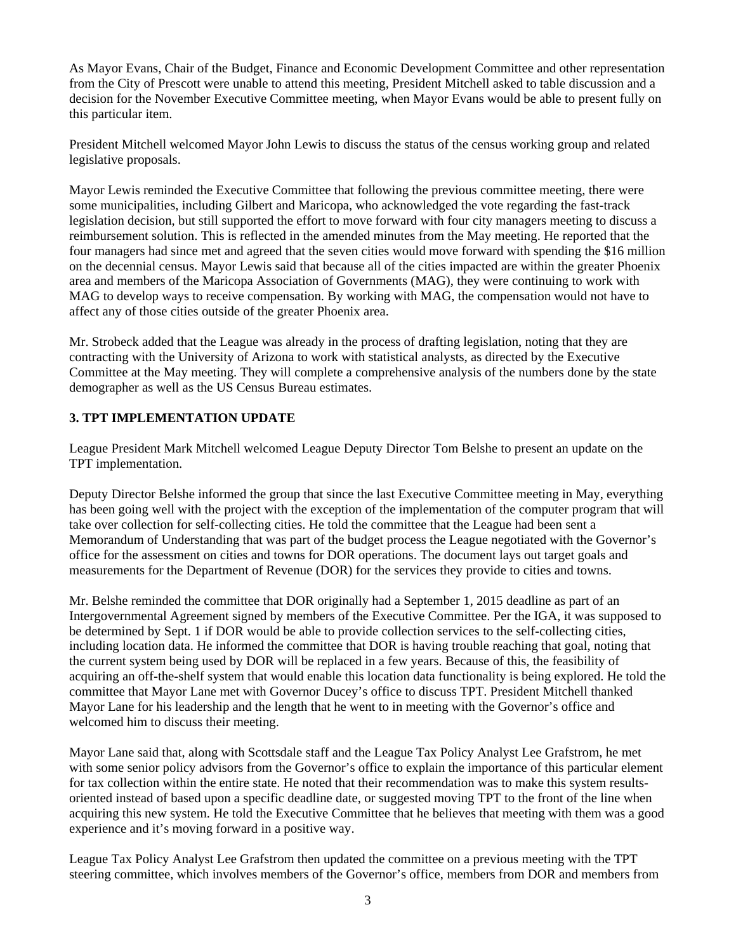As Mayor Evans, Chair of the Budget, Finance and Economic Development Committee and other representation from the City of Prescott were unable to attend this meeting, President Mitchell asked to table discussion and a decision for the November Executive Committee meeting, when Mayor Evans would be able to present fully on this particular item.

President Mitchell welcomed Mayor John Lewis to discuss the status of the census working group and related legislative proposals.

Mayor Lewis reminded the Executive Committee that following the previous committee meeting, there were some municipalities, including Gilbert and Maricopa, who acknowledged the vote regarding the fast-track legislation decision, but still supported the effort to move forward with four city managers meeting to discuss a reimbursement solution. This is reflected in the amended minutes from the May meeting. He reported that the four managers had since met and agreed that the seven cities would move forward with spending the \$16 million on the decennial census. Mayor Lewis said that because all of the cities impacted are within the greater Phoenix area and members of the Maricopa Association of Governments (MAG), they were continuing to work with MAG to develop ways to receive compensation. By working with MAG, the compensation would not have to affect any of those cities outside of the greater Phoenix area.

Mr. Strobeck added that the League was already in the process of drafting legislation, noting that they are contracting with the University of Arizona to work with statistical analysts, as directed by the Executive Committee at the May meeting. They will complete a comprehensive analysis of the numbers done by the state demographer as well as the US Census Bureau estimates.

# **3. TPT IMPLEMENTATION UPDATE**

League President Mark Mitchell welcomed League Deputy Director Tom Belshe to present an update on the TPT implementation.

Deputy Director Belshe informed the group that since the last Executive Committee meeting in May, everything has been going well with the project with the exception of the implementation of the computer program that will take over collection for self-collecting cities. He told the committee that the League had been sent a Memorandum of Understanding that was part of the budget process the League negotiated with the Governor's office for the assessment on cities and towns for DOR operations. The document lays out target goals and measurements for the Department of Revenue (DOR) for the services they provide to cities and towns.

Mr. Belshe reminded the committee that DOR originally had a September 1, 2015 deadline as part of an Intergovernmental Agreement signed by members of the Executive Committee. Per the IGA, it was supposed to be determined by Sept. 1 if DOR would be able to provide collection services to the self-collecting cities, including location data. He informed the committee that DOR is having trouble reaching that goal, noting that the current system being used by DOR will be replaced in a few years. Because of this, the feasibility of acquiring an off-the-shelf system that would enable this location data functionality is being explored. He told the committee that Mayor Lane met with Governor Ducey's office to discuss TPT. President Mitchell thanked Mayor Lane for his leadership and the length that he went to in meeting with the Governor's office and welcomed him to discuss their meeting.

Mayor Lane said that, along with Scottsdale staff and the League Tax Policy Analyst Lee Grafstrom, he met with some senior policy advisors from the Governor's office to explain the importance of this particular element for tax collection within the entire state. He noted that their recommendation was to make this system resultsoriented instead of based upon a specific deadline date, or suggested moving TPT to the front of the line when acquiring this new system. He told the Executive Committee that he believes that meeting with them was a good experience and it's moving forward in a positive way.

League Tax Policy Analyst Lee Grafstrom then updated the committee on a previous meeting with the TPT steering committee, which involves members of the Governor's office, members from DOR and members from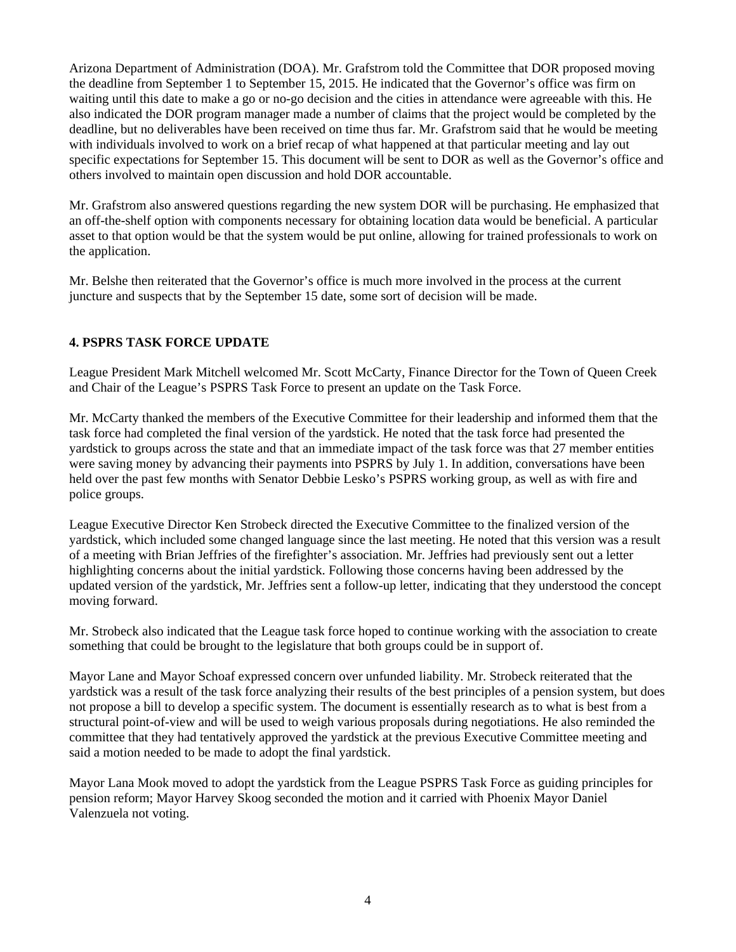Arizona Department of Administration (DOA). Mr. Grafstrom told the Committee that DOR proposed moving the deadline from September 1 to September 15, 2015. He indicated that the Governor's office was firm on waiting until this date to make a go or no-go decision and the cities in attendance were agreeable with this. He also indicated the DOR program manager made a number of claims that the project would be completed by the deadline, but no deliverables have been received on time thus far. Mr. Grafstrom said that he would be meeting with individuals involved to work on a brief recap of what happened at that particular meeting and lay out specific expectations for September 15. This document will be sent to DOR as well as the Governor's office and others involved to maintain open discussion and hold DOR accountable.

Mr. Grafstrom also answered questions regarding the new system DOR will be purchasing. He emphasized that an off-the-shelf option with components necessary for obtaining location data would be beneficial. A particular asset to that option would be that the system would be put online, allowing for trained professionals to work on the application.

Mr. Belshe then reiterated that the Governor's office is much more involved in the process at the current juncture and suspects that by the September 15 date, some sort of decision will be made.

### **4. PSPRS TASK FORCE UPDATE**

League President Mark Mitchell welcomed Mr. Scott McCarty, Finance Director for the Town of Queen Creek and Chair of the League's PSPRS Task Force to present an update on the Task Force.

Mr. McCarty thanked the members of the Executive Committee for their leadership and informed them that the task force had completed the final version of the yardstick. He noted that the task force had presented the yardstick to groups across the state and that an immediate impact of the task force was that 27 member entities were saving money by advancing their payments into PSPRS by July 1. In addition, conversations have been held over the past few months with Senator Debbie Lesko's PSPRS working group, as well as with fire and police groups.

League Executive Director Ken Strobeck directed the Executive Committee to the finalized version of the yardstick, which included some changed language since the last meeting. He noted that this version was a result of a meeting with Brian Jeffries of the firefighter's association. Mr. Jeffries had previously sent out a letter highlighting concerns about the initial yardstick. Following those concerns having been addressed by the updated version of the yardstick, Mr. Jeffries sent a follow-up letter, indicating that they understood the concept moving forward.

Mr. Strobeck also indicated that the League task force hoped to continue working with the association to create something that could be brought to the legislature that both groups could be in support of.

Mayor Lane and Mayor Schoaf expressed concern over unfunded liability. Mr. Strobeck reiterated that the yardstick was a result of the task force analyzing their results of the best principles of a pension system, but does not propose a bill to develop a specific system. The document is essentially research as to what is best from a structural point-of-view and will be used to weigh various proposals during negotiations. He also reminded the committee that they had tentatively approved the yardstick at the previous Executive Committee meeting and said a motion needed to be made to adopt the final yardstick.

Mayor Lana Mook moved to adopt the yardstick from the League PSPRS Task Force as guiding principles for pension reform; Mayor Harvey Skoog seconded the motion and it carried with Phoenix Mayor Daniel Valenzuela not voting.